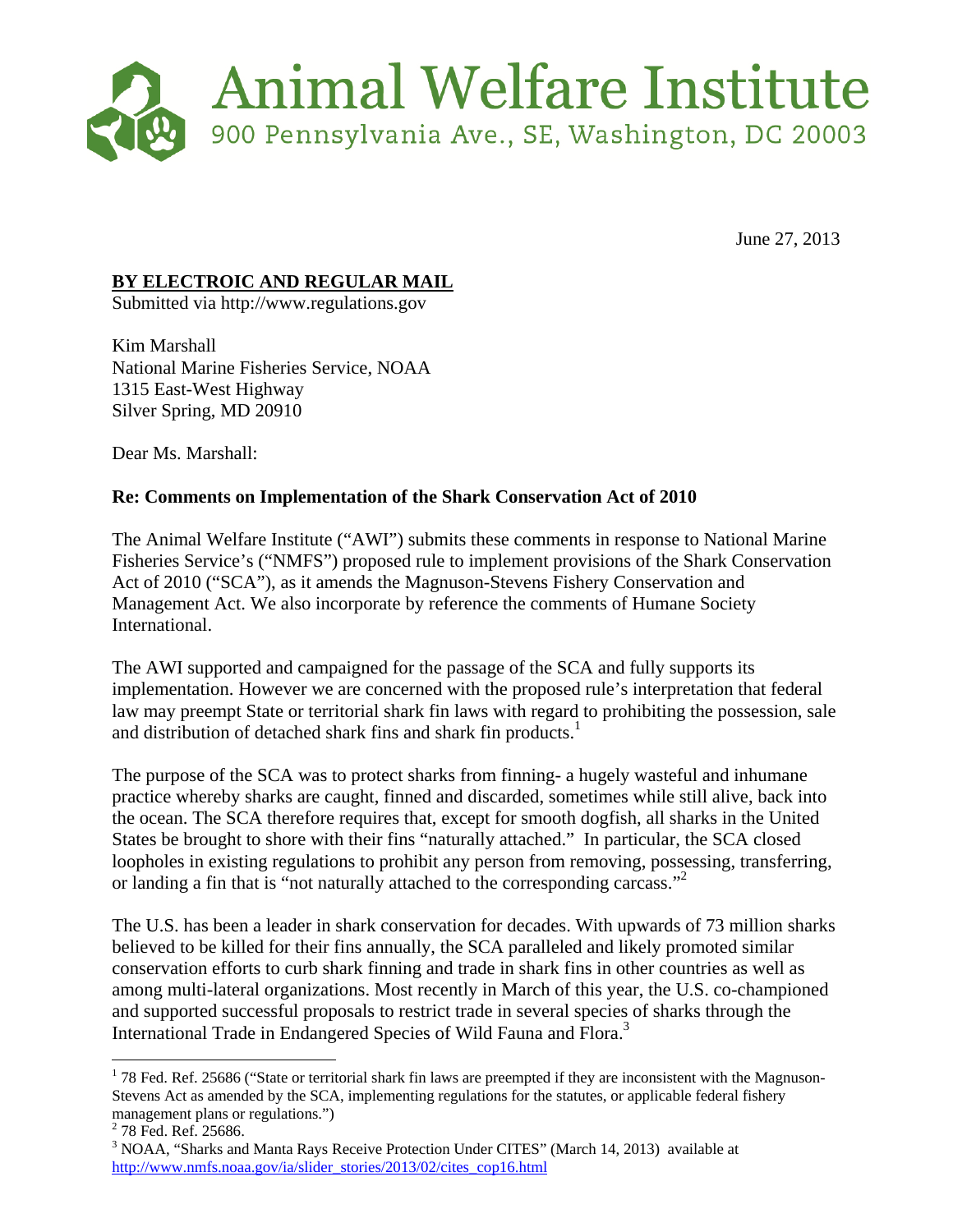

June 27, 2013

## **BY ELECTROIC AND REGULAR MAIL**

Submitted via http://www.regulations.gov

Kim Marshall National Marine Fisheries Service, NOAA 1315 East-West Highway Silver Spring, MD 20910

Dear Ms. Marshall:

## **Re: Comments on Implementation of the Shark Conservation Act of 2010**

The Animal Welfare Institute ("AWI") submits these comments in response to National Marine Fisheries Service's ("NMFS") proposed rule to implement provisions of the Shark Conservation Act of 2010 ("SCA"), as it amends the Magnuson-Stevens Fishery Conservation and Management Act. We also incorporate by reference the comments of Humane Society International.

The AWI supported and campaigned for the passage of the SCA and fully supports its implementation. However we are concerned with the proposed rule's interpretation that federal law may preempt State or territorial shark fin laws with regard to prohibiting the possession, sale and distribution of detached shark fins and shark fin products.<sup>1</sup>

The purpose of the SCA was to protect sharks from finning- a hugely wasteful and inhumane practice whereby sharks are caught, finned and discarded, sometimes while still alive, back into the ocean. The SCA therefore requires that, except for smooth dogfish, all sharks in the United States be brought to shore with their fins "naturally attached." In particular, the SCA closed loopholes in existing regulations to prohibit any person from removing, possessing, transferring, or landing a fin that is "not naturally attached to the corresponding carcass."<sup>2</sup>

The U.S. has been a leader in shark conservation for decades. With upwards of 73 million sharks believed to be killed for their fins annually, the SCA paralleled and likely promoted similar conservation efforts to curb shark finning and trade in shark fins in other countries as well as among multi-lateral organizations. Most recently in March of this year, the U.S. co-championed and supported successful proposals to restrict trade in several species of sharks through the International Trade in Endangered Species of Wild Fauna and Flora.<sup>3</sup>

1

 $1$  78 Fed. Ref. 25686 ("State or territorial shark fin laws are preempted if they are inconsistent with the Magnuson-Stevens Act as amended by the SCA, implementing regulations for the statutes, or applicable federal fishery management plans or regulations.")

<sup>&</sup>lt;sup>2</sup> 78 Fed. Ref. 25686.

<sup>&</sup>lt;sup>3</sup> NOAA, "Sharks and Manta Rays Receive Protection Under CITES" (March 14, 2013) available at http://www.nmfs.noaa.gov/ia/slider\_stories/2013/02/cites\_cop16.html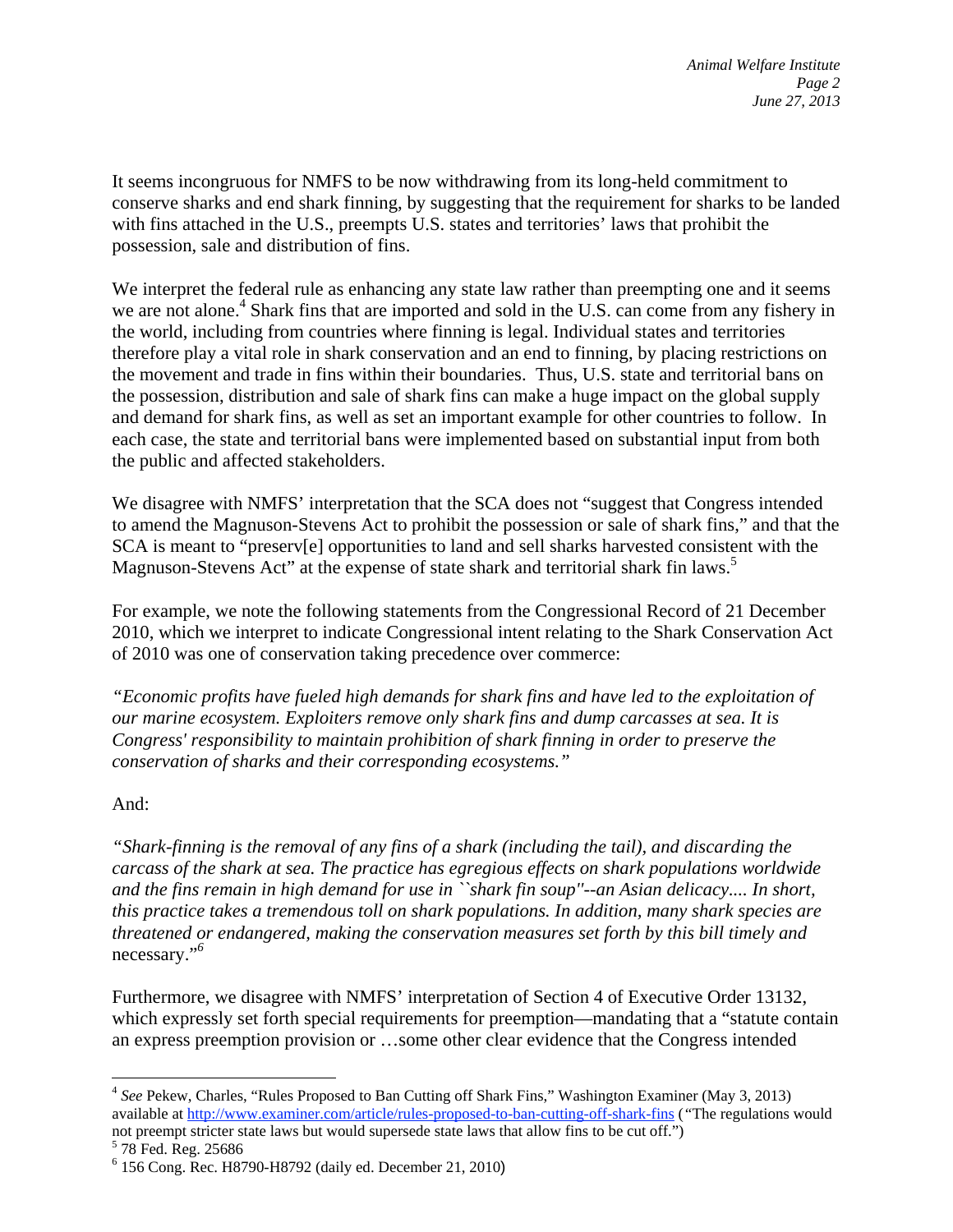It seems incongruous for NMFS to be now withdrawing from its long-held commitment to conserve sharks and end shark finning, by suggesting that the requirement for sharks to be landed with fins attached in the U.S., preempts U.S. states and territories' laws that prohibit the possession, sale and distribution of fins.

We interpret the federal rule as enhancing any state law rather than preempting one and it seems we are not alone.<sup>4</sup> Shark fins that are imported and sold in the U.S. can come from any fishery in the world, including from countries where finning is legal. Individual states and territories therefore play a vital role in shark conservation and an end to finning, by placing restrictions on the movement and trade in fins within their boundaries. Thus, U.S. state and territorial bans on the possession, distribution and sale of shark fins can make a huge impact on the global supply and demand for shark fins, as well as set an important example for other countries to follow. In each case, the state and territorial bans were implemented based on substantial input from both the public and affected stakeholders.

We disagree with NMFS' interpretation that the SCA does not "suggest that Congress intended to amend the Magnuson-Stevens Act to prohibit the possession or sale of shark fins," and that the SCA is meant to "preserv[e] opportunities to land and sell sharks harvested consistent with the Magnuson-Stevens Act" at the expense of state shark and territorial shark fin laws.<sup>5</sup>

For example, we note the following statements from the Congressional Record of 21 December 2010, which we interpret to indicate Congressional intent relating to the Shark Conservation Act of 2010 was one of conservation taking precedence over commerce:

*"Economic profits have fueled high demands for shark fins and have led to the exploitation of our marine ecosystem. Exploiters remove only shark fins and dump carcasses at sea. It is Congress' responsibility to maintain prohibition of shark finning in order to preserve the conservation of sharks and their corresponding ecosystems."* 

## And:

1

*"Shark-finning is the removal of any fins of a shark (including the tail), and discarding the carcass of the shark at sea. The practice has egregious effects on shark populations worldwide and the fins remain in high demand for use in ``shark fin soup''--an Asian delicacy.... In short, this practice takes a tremendous toll on shark populations. In addition, many shark species are threatened or endangered, making the conservation measures set forth by this bill timely and*  necessary."*<sup>6</sup>*

Furthermore, we disagree with NMFS' interpretation of Section 4 of Executive Order 13132, which expressly set forth special requirements for preemption—mandating that a "statute contain an express preemption provision or …some other clear evidence that the Congress intended

<sup>4</sup> *See* Pekew, Charles, "Rules Proposed to Ban Cutting off Shark Fins," Washington Examiner (May 3, 2013) available at http://www.examiner.com/article/rules-proposed-to-ban-cutting-off-shark-fins (*"*The regulations would not preempt stricter state laws but would supersede state laws that allow fins to be cut off.")

 $5\,78$  Fed. Reg. 25686

<sup>6</sup> 156 Cong. Rec. H8790-H8792 (daily ed. December 21, 2010)